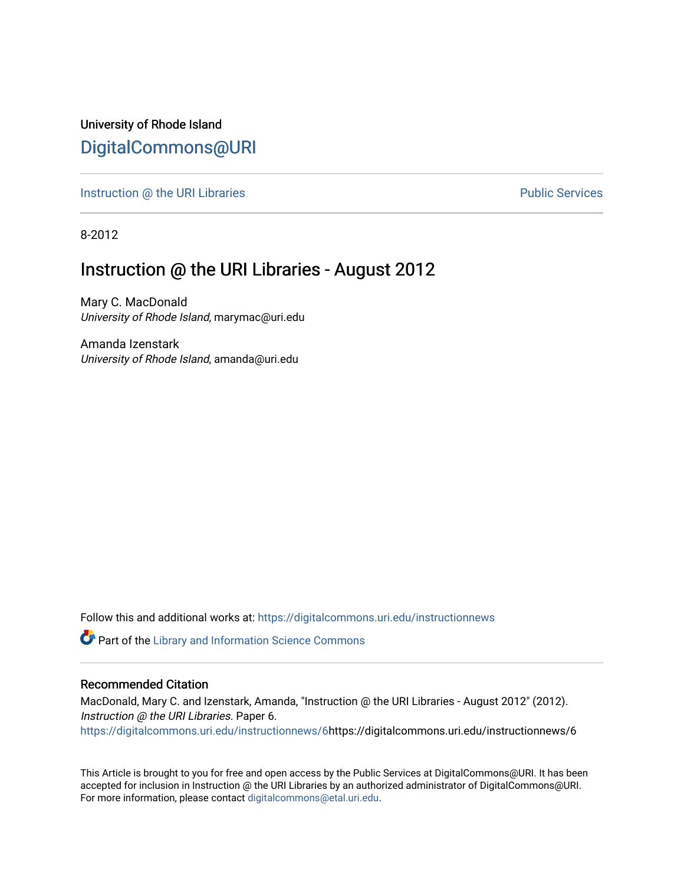University of Rhode Island [DigitalCommons@URI](https://digitalcommons.uri.edu/) 

[Instruction @ the URI Libraries](https://digitalcommons.uri.edu/instructionnews) **Public Services** Public Services

8-2012

### Instruction @ the URI Libraries - August 2012

Mary C. MacDonald University of Rhode Island, marymac@uri.edu

Amanda Izenstark University of Rhode Island, amanda@uri.edu

Follow this and additional works at: [https://digitalcommons.uri.edu/instructionnews](https://digitalcommons.uri.edu/instructionnews?utm_source=digitalcommons.uri.edu%2Finstructionnews%2F6&utm_medium=PDF&utm_campaign=PDFCoverPages)

Part of the [Library and Information Science Commons](http://network.bepress.com/hgg/discipline/1018?utm_source=digitalcommons.uri.edu%2Finstructionnews%2F6&utm_medium=PDF&utm_campaign=PDFCoverPages) 

#### Recommended Citation

MacDonald, Mary C. and Izenstark, Amanda, "Instruction @ the URI Libraries - August 2012" (2012). Instruction @ the URI Libraries. Paper 6. [https://digitalcommons.uri.edu/instructionnews/6](https://digitalcommons.uri.edu/instructionnews/6?utm_source=digitalcommons.uri.edu%2Finstructionnews%2F6&utm_medium=PDF&utm_campaign=PDFCoverPages)https://digitalcommons.uri.edu/instructionnews/6

This Article is brought to you for free and open access by the Public Services at DigitalCommons@URI. It has been accepted for inclusion in Instruction @ the URI Libraries by an authorized administrator of DigitalCommons@URI. For more information, please contact [digitalcommons@etal.uri.edu](mailto:digitalcommons@etal.uri.edu).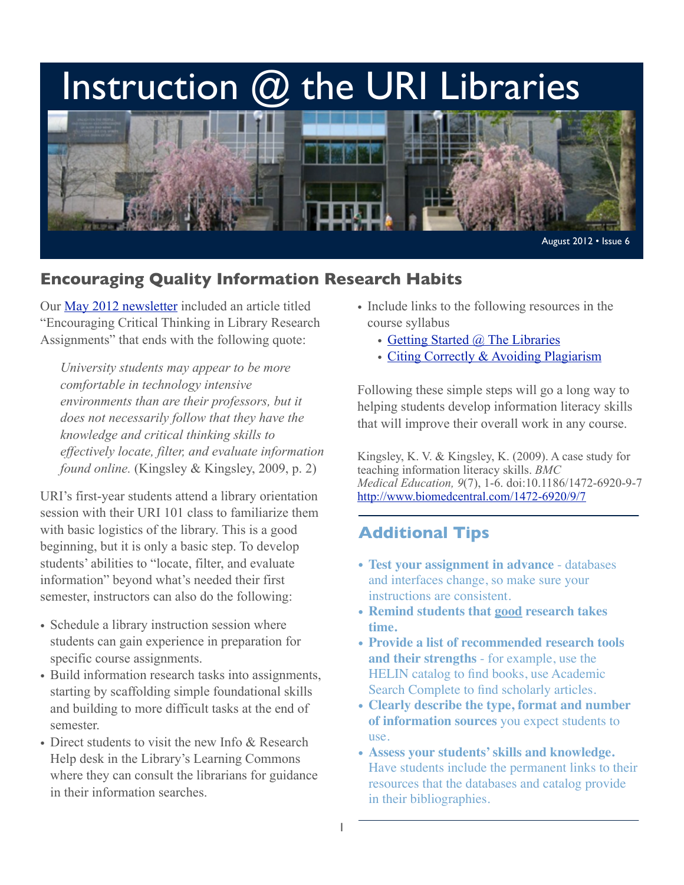# Instruction  $@$  the URI Libraries



## **Encouraging Quality Information Research Habits**

Our [May 2012 newsletter](http://digitalcommons.uri.edu/instructionnews/) included an article titled "Encouraging Critical Thinking in Library Research Assignments" that ends with the following quote:

*University students may appear to be more comfortable in technology intensive environments than are their professors, but it does not necessarily follow that they have the knowledge and critical thinking skills to effectively locate, filter, and evaluate information found online.* (Kingsley & Kingsley, 2009, p. 2)

URI's first-year students attend a library orientation session with their URI 101 class to familiarize them with basic logistics of the library. This is a good beginning, but it is only a basic step. To develop students' abilities to "locate, filter, and evaluate information" beyond what's needed their first semester, instructors can also do the following:

- Schedule a library instruction session where students can gain experience in preparation for specific course assignments.
- Build information research tasks into assignments, starting by scaffolding simple foundational skills and building to more difficult tasks at the end of semester.
- Direct students to visit the new Info & Research Help desk in the Library's Learning Commons where they can consult the librarians for guidance in their information searches.
- Include links to the following resources in the course syllabus
	- [Getting Started @ The Libraries](http://uri.libguides.com/start)
	- [Citing Correctly & Avoiding Plagiarism](http://uri.libguides.com/cite)

Following these simple steps will go a long way to helping students develop information literacy skills that will improve their overall work in any course.

Kingsley, K. V. & Kingsley, K. (2009). A case study for teaching information literacy skills. *BMC Medical Education, 9*(7), 1-6. doi:10.1186/1472-6920-9-7 <http://www.biomedcentral.com/1472-6920/9/7>

# **Additional Tips**

- **Test your assignment in advance** databases and interfaces change, so make sure your instructions are consistent.
- **• Remind students that good research takes time.**
- **Provide a list of recommended research tools and their strengths** - for example, use the HELIN catalog to find books, use Academic Search Complete to find scholarly articles.
- **Clearly describe the type, format and number of information sources** you expect students to use.
- **Assess your students' skills and knowledge.** Have students include the permanent links to their resources that the databases and catalog provide in their bibliographies.